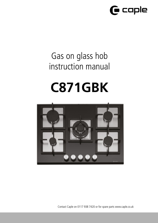

## Gas on glass hob instruction manual

# **C871GBK**



Contact Caple on 0117 938 7420 or for spare parts www.caple.co.uk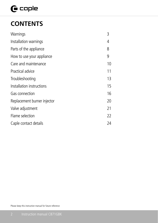## $\mathbf \Theta$  caple

## **CONTENTS**

| Warnings                    | 3  |
|-----------------------------|----|
| Installation warnings       | 4  |
| Parts of the appliance      | 8  |
| How to use your appliance   | 9  |
| Care and maintenance        | 10 |
| Practical advice            | 11 |
| Troubleshooting             | 13 |
| Installation instructions   | 15 |
| Gas connection              | 16 |
| Replacement burner injector | 20 |
| Valve adjustment            | 21 |
| Flame selection             | 22 |
| Caple contact details       | 24 |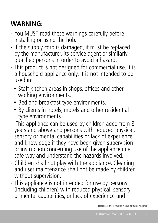## **WARNING:**

- You MUST read these warnings carefully before installing or using the hob.
- If the supply cord is damaged, it must be replaced by the manufacturer, its service agent or similarly qualified persons in order to avoid a hazard.
- This product is not designed for commercial use, it is a household appliance only. It is not intended to be used in:
	- Staff kitchen areas in shops, offices and other working environments.
	- Bed and breakfast type environments.
	- By clients in hotels, motels and other residential type environments.
- This appliance can be used by children aged from 8 years and above and persons with reduced physical, sensory or mental capabilities or lack of experience and knowledge if they have been given supervision or instruction concerning use of the appliance in a safe way and understand the hazards involved.
- Children shall not play with the appliance. Cleaning and user maintenance shall not be made by children without supervision.
- This appliance is not intended for use by persons (including children) with reduced physical, sensory or mental capabilities, or lack of experience and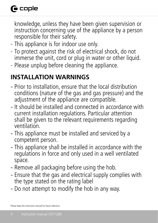## **G** caple

knowledge, unless they have been given supervision or instruction concerning use of the appliance by a person responsible for their safety.

- This appliance is for indoor use only.
- To protect against the risk of electrical shock, do not immerse the unit, cord or plug in water or other liquid.
- Please unplug before cleaning the appliance.

## **INSTALLATION WARNINGS**

- Prior to installation, ensure that the local distribution conditions (nature of the gas and gas pressure) and the adjustment of the appliance are compatible.
- It should be installed and connected in accordance with current installation regulations. Particular attention shall be given to the relevant requirements regarding ventilation.
- This appliance must be installed and serviced by a competent person.
- This appliance shall be installed in accordance with the regulations in force and only used in a well ventilated space.
- Remove all packaging before using the hob.
- Ensure that the gas and electrical supply complies with the type stated on the rating label
- Do not attempt to modify the hob in any way.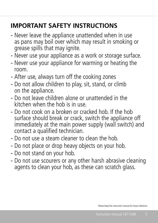## **IMPORTANT SAFETY INSTRUCTIONS**

- Never leave the appliance unattended when in use as pans may boil over which may result in smoking or grease spills that may ignite.
- Never use your appliance as a work or storage surface.
- Never use your appliance for warming or heating the room.
- After use, always turn off the cooking zones
- Do not allow children to play, sit, stand, or climb on the appliance.
- Do not leave children alone or unattended in the kitchen when the hob is in use.
- Do not cook on a broken or cracked hob. If the hob surface should break or crack, switch the appliance off immediately at the main power supply (wall switch) and contact a qualified technician.
- Do not use a steam cleaner to clean the hob.
- Do not place or drop heavy objects on your hob.
- Do not stand on your hob.
- Do not use scourers or any other harsh abrasive cleaning agents to clean your hob, as these can scratch glass.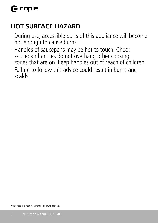## **HOT SURFACE HAZARD**

- During use, accessible parts of this appliance will become hot enough to cause burns.
- Handles of saucepans may be hot to touch. Check saucepan handles do not overhang other cooking zones that are on. Keep handles out of reach of children.
- Failure to follow this advice could result in burns and scalds.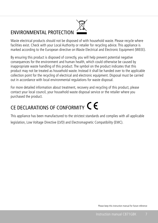## ENVIRONMENTAL PROTECTION



Waste electrical products should not be disposed of with household waste. Please recycle where facilities exist. Check with your Local Authority or retailer for recycling advice. This appliance is marked according to the European directive on Waste Electrical and Electronic Equipment (WEEE).

By ensuring this product is disposed of correctly, you will help prevent potential negative consequences for the environment and human health, which could otherwise be caused by inappropriate waste handling of this product. The symbol on the product indicates that this product may not be treated as household waste. Instead it shall be handed over to the applicable collection point for the recycling of electrical and electronic equipment. Disposal must be carried out in accordance with local environmental regulations for waste disposal.

For more detailed information about treatment, recovery and recycling of this product, please contact your local council, your household waste disposal service or the retailer where you purchased the product.

## CE DECLARATIONS OF CONFORMITY  $\mathsf{\mathsf{C}} \mathsf{\mathsf{C}}$

This appliance has been manufactured to the strictest standards and complies with all applicable legislation, Low Voltage Directive (LVD) and Electromagnetic Compatibility (EMC).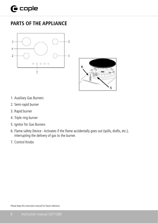## **PARTS OF THE APPLIANCE**





- 1. Auxiliary Gas Burners
- 2. Semi-rapid burner
- 3. Rapid burner
- 4. Triple ring burner
- 5. Ignitor for Gas Burners
	- 6. Flame safety Device Activates if the flame accidentally goes out (spills, drafts, etc.), interrupting the delivery of gas to the burner.
	- 7. Control Knobs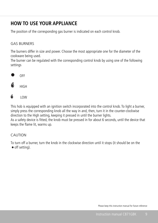## **HOW TO USE YOUR APPLIANCE**

The position of the corresponding gas burner is indicated on each control knob.

#### GAS BURNERS

The burners differ in size and power. Choose the most appropriate one for the diameter of the cookware being used.

The burner can be regulated with the corresponding control knob by using one of the following settings





Low LOW

This hob is equipped with an ignition switch incorporated into the control knob. To light a burner, simply press the corresponding knob all the way in and, then, turn it in the counter-clockwise direction to the High setting, keeping it pressed in until the burner lights. As a safety device is fitted, the knob must be pressed in for about 6 seconds, until the device that keeps the flame lit, warms up.

#### CAUTION

To turn off a burner, turn the knob in the clockwise direction until it stops (it should be on the • off setting).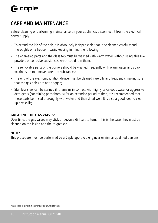## **CARE AND MAINTENANCE**

Before cleaning or performing maintenance on your appliance, disconnect it from the electrical power supply.

- To extend the life of the hob, it is absolutely indispensable that it be cleaned carefully and thoroughly on a frequent basis, keeping in mind the following:
- The enameled parts and the glass top must be washed with warm water without using abrasive powders or corrosive substances which could ruin them;
- The removable parts of the burners should be washed frequently with warm water and soap, making sure to remove caked-on substances;
- The end of the electronic ignition device must be cleaned carefully and frequently, making sure that the gas holes are not clogged;
- Stainless steel can be stained if it remains in contact with highly calcareous water or aggressive detergents (containing phosphorous) for an extended period of time, it is recommended that these parts be rinsed thoroughly with water and then dried well, It is also a good idea to clean up any spills;

#### **GREASING THE GAS VALVES:**

Over time, the gas valves may stick or become difficult to turn. If this is the case, they must be cleaned on the inside and the re-greased.

#### **NOTE:**

This procedure must be performed by a Caple approved engineer or similar qualified persons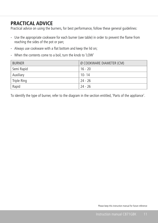### **PRACTICAL ADVICE**

Practical advice on using the burners, for best performance, follow these general guidelines:

- Use the appropriate cookware for each burner (see table) in order to prevent the flame from reaching the sides of the pot or pan;
- Always use cookware with a flat bottom and keep the lid on;
- When the contents come to a boil, turn the knob to 'LOW'

| <b>BURNER</b> | Ø COOKWARE DIAMETER (CM) |
|---------------|--------------------------|
| Semi Rapid    | 16 - 20                  |
| Auxiliary     | 10-14                    |
| Triple Ring   | 24 - 26                  |
| Rapid         | - 24 - 26                |

To identify the type of burner, refer to the diagram in the section entitled, 'Parts of the appliance'.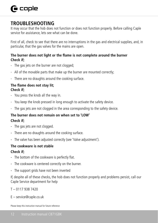## $\bigcap$  caple

### **TROUBLESHOOTING**

It may occur that the hob does not function or does not function properly. Before calling Caple service for assistance, lets see what can be done.

First of all, check to see that there are no interruptions in the gas and electrical supplies, and, in particular, that the gas valves for the mains are open.

#### **The burner does not light or the flame is not complete around the burner Check if;**

- The gas jets on the burner are not clogged:
- All of the movable parts that make up the burner are mounted correctly;
- There are no draughts around the cooking surface.

#### **The flame does not stay lit; Check if;**

- You press the knob all the way in.
- You keep the knob pressed in long enough to activate the safety device.
- The gas jets are not clogged in the area corresponding to the safety device.

#### **The burner does not remain on when set to 'LOW' Check if;**

- The gas jets are not clogged.
- There are no draughts around the cooking surface.
- The valve has been adjusted correctly (see 'Valve adjustment').

#### **The cookware is not stable**

#### **Check if;**

- The bottom of the cookware is perfectly flat.
- The cookware is centered correctly on the burner.
- The support grids have not been inverted

If, despite all of these checks, the hob does not function properly and problems persist, call our Caple Service department for help

- T 0117 938 7420
- E service@caple.co.uk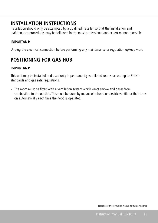### **INSTALLATION INSTRUCTIONS**

Installation should only be attempted by a qualified installer so that the installation and maintenance procedures may be followed in the most professional and expert manner possible.

#### **IMPORTANT:**

Unplug the electrical connection before performing any maintenance or regulation upkeep work

## **POSITIONING FOR GAS HOB**

#### **IMPORTANT:**

This unit may be installed and used only in permanently ventilated rooms according to British standards and gas safe regulations.

- The room must be fitted with a ventilation system which vents smoke and gases from combustion to the outside. This must be done by means of a hood or electric ventilator that turns on automatically each time the hood is operated.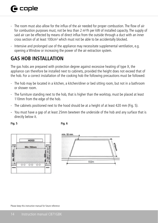- The room must also allow for the influx of the air needed for proper combustion. The flow of air for combustion purposes must, not be less than 2  $m<sup>3</sup>/h$  per kW of installed capacity. The supply of said air can be effected by means of direct influx from the outside through a duct with an inner cross section of at least 100cm² which must not be able to be accidentally blocked.
- Intensive and prolonged use of the appliance may necessitate supplemental ventilation, e.g. opening a Window or increasing the power of the air extraction system.

## **GAS HOB INSTALLATION**

The gas hobs are prepared with protection degree against excessive heating of type X, the appliance can therefore be installed next to cabinets, provided the height does not exceed that of the hob. For a correct installation of the cooking hob the following precautions must be followed:

- The hob may be located in a kitchen, a kitchen/diner or bed sitting room, but not in a bathroom or shower room.
- The furniture standing next to the hob, that is higher than the worktop, must be placed at least 110mm from the edge of the hob.
- The cabinets positioned next to the hood should be at a height of at least 420 mm (Fig. 5).
- You must have a gap of at least 25mm bewteen the underside of the hob and any surface that is directly below it.

#### **Fig. 5 Fig. 6**



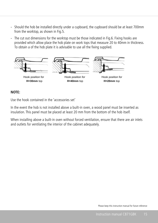- Should the hob be installed directly under a cupboard, the cupboard should be at least 700mm from the worktop, as shown in Fig.5.
- The cut out dimensions for the worktop must be those indicated in Fig.6. Fixing hooks are provided which allow place the hob plate on work tops that measure 20 to 40mm in thickness. To obtain a of the hob plate it is advisable to use all the fixing supplied.



#### **.B:** Use the hook contained in the "accessories set" **NOTE:**

Use the hook contained in the 'accessories set'

In the event the hob is not installed above a built-in oven, a wood panel must be inserted as insulation. This panel must be placed at least 20 mm from the bottom of the hob itself.

When installing above a built-in oven without forced ventilation, ensure that there are air inlets and outlets for ventilating the interior of the cabinet adequately.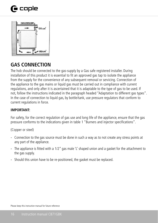## $\mathbf \Theta$  caple



## **GAS CONNECTION**

The hob should be connected to the gas-supply by a Gas safe registered installer. During installation of this product it is essential to fit an approved gas tap to isolate the appliance from the supply for the convenience of any subsequent removal or servicing. Connection of the appliance to the gas mains or liquid gas must be carried out in compliance with current regulations, and only after it is ascertained that it is adaptable to the type of gas to be used. If not, follow the instructions indicated in the paragraph headed "Adaptation to different gas types". In the case of connection to liquid gas, by bottle/tank, use pressure regulators that conform to current regulations in force.

#### **IMPORTANT:**

For safety, for the correct regulation of gas use and long life of the appliance, ensure that the gas pressure conforms to the indications given in table 1 "Burners and injector specifications".

(Copper or steel)

- Connection to the gas source must be done in such a way as to not create any stress points at any part of the appliance.
- The appliance is fitted with a 1/2" gas male 'L' shaped union and a gasket for the attachment to the gas supply.
- Should this union have to be re-positioned, the gasket must be replaced.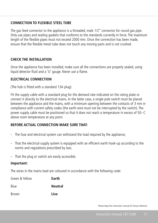#### **CONNECTION TO FLEXIBLE STEEL TUBE**

The gas feed connector to the appliance is a threaded, male 1/2" connector for round gas pipe. Only use pipes and sealing gaskets that conforms to the standards currently in force. The maximum length of the flexible pipes must not exceed 2000 mm. Once the connection has been made, ensure that the flexible metal tube does not touch any moving parts and is not crushed.

#### **CHECK THE INSTALLATION**

Once the appliance has been installed, make sure all the connections are properly sealed, using liquid detector fluid and a 'U' gauge. Never use a flame.

#### **ELECTRICAL CONNECTION**

(The hob is fitted with a standard 13A plug)

Fit the supply cable with a standard plug for the demand rate indicated on the rating plate or connect it directly to the electrical mains. In the latter case, a single pole switch must be placed between the appliance and the mains, with a minimum opening between the contacts of 3 mm in compliance with current safety codes (the earth wire must not be interrupted by the switch). The power supply cable must be positioned so that it does not reach a temperature in excess of 50~C above room temperature at any point.

#### **BEFORE ACTUAL CONNECTION MAKE SURE THAT:**

- The fuse and electrical system can withstand the load required by the appliance;
- That the electrical supply system is equipped with an efficient earth hook-up according to the norms and regulations prescribed by law;
- That the plug or switch are easily accessible.

#### **Important:**

The wires in the mains lead are coloured in accordance with the following code:

| Green & Yellow | Earth          |
|----------------|----------------|
| Blue           | <b>Neutral</b> |
| <b>Brown</b>   | Live           |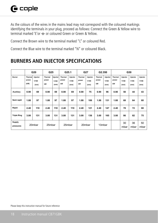As the colours of the wires in the mains lead may not correspond with the coloured markings identifying the terminals in your plug, proceed as follows: Connect the Green & Yellow wire to terminal marked 'E'or  $\leftrightharpoonup$  or coloured Green or Green & Yellow.

Connect the Brown wire to the terminal marked "L" or coloured Red.

Connect the Blue wire to the terminal marked "N" or coloured Black.

## **BURNERS AND INJECTOR SPECIFICATIONS Injector**

|                     |                          | G20                       | G25                    |                           | G25.1                  |                           | G27                    |                           | G2.350                 |                           | G30                           |                           |                           |                           |
|---------------------|--------------------------|---------------------------|------------------------|---------------------------|------------------------|---------------------------|------------------------|---------------------------|------------------------|---------------------------|-------------------------------|---------------------------|---------------------------|---------------------------|
| <b>Burner</b>       | Thermal<br>power<br>(kW) | Injector<br>1/100<br>(mm) | Thermal<br>power<br>kW | Injector<br>1/100<br>(mm) | Thermal<br>power<br>kW | Injector<br>1/100<br>(mm) | Thermal<br>power<br>kW | Injector<br>1/100<br>(mm) | Thermal<br>power<br>kW | Injector<br>1/100<br>(mm) | <b>Thermal</b><br>power<br>kW | Injector<br>1/100<br>(mm) | Injector<br>1/100<br>(mm) | Injector<br>1/100<br>(mm) |
| Auxiliary           | 0.90                     | 69                        | 0.90                   | 69                        | 0.90                   | 69                        | 0.90                   | 75                        | 0.90                   | 96                        | 0.90                          | 50                        | 44                        | 43                        |
| Semi rapid          | 1.88                     | 97                        | 1.88                   | 97                        | 1.88                   | 97                        | 1.88                   | 106                       | 1.88                   | 131                       | 1.88                          | 68                        | 64                        | 60                        |
| Rapid               | 2.40                     | 110                       | 2.40                   | 110                       | 2.40                   | 110                       | 2.40                   | 121                       | 2.40                   | 147                       | 2.40                          | 78                        | 72                        | 68                        |
| <b>Triple Ring</b>  | 3.00                     | 131                       | 3.00                   | 131                       | 3.00                   | 131                       | 3.00                   | 136                       | 3.00                   | 165                       | 3.00                          | 86                        | 82                        | 75                        |
| Supply<br>pressures |                          | 20mbar                    | 25mbar                 |                           | 25mbar                 |                           |                        | 20mbar                    | 13mbar                 |                           |                               | 30<br>mbar                | 36<br>mbar                | 50<br>mbar                |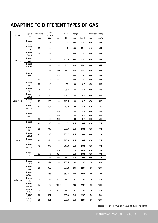### **ADAPTING TO DIFFERENT TYPES OF GAS**

| Burner      | Type of              | Pressure | Nozzle<br>diameter |            | Nominal Charge | Reduced Charge<br>kW<br>kcal/h |      |      |              |
|-------------|----------------------|----------|--------------------|------------|----------------|--------------------------------|------|------|--------------|
|             | Gas                  | mbar     | 1/100mm            | I/h<br>g/h |                |                                |      |      | kW<br>kcal/h |
|             | Natural<br>G20       | 20       | 69                 |            | 85.7           | 0.90                           | 774  | 0.40 | 344          |
|             | Natural<br>G25       | 25       | 69                 |            | 99.7           | 0.90                           | 774  | 0.40 | 344          |
|             | Natural<br>G25.1     | 25       | 69                 |            | 99.6           | 0.90                           | 774  | 0.40 | 344          |
| Auxiliary   | Natural<br>G27       | 20       | 75                 |            | 104.5          | 0.90                           | 774  | 0.40 | 344          |
|             | Natural<br>G2.350    | 13       | 96                 |            | 119            | 0.90                           | 774  | 0.40 | 344          |
|             |                      | 30       | 50                 | 65         |                | 0.90                           | 774  | 0.40 | 344          |
|             | Butane<br>G30        | 37       | 44                 | 65         |                | 0.90                           | 774  | 0.40 | 344          |
|             |                      | 50       | 43                 | 65         |                | 0.90                           | 774  | 0.40 | 344          |
|             | Natural<br>G20       | 20       | 97                 |            | 179            | 1.88                           | 1617 | 0.60 | 516          |
|             | Natural<br>G25       | 25       | 97                 |            | 208.3          | 1.88                           | 1617 | 0.60 | 516          |
|             | Natural<br>G25.1     | 25       | 97                 |            | 208.1          | 1.88                           | 1617 | 0.60 | 516          |
| Semi-rapid  | Natural<br>G27       | 20       | 106                |            | 218.5          | 1.88                           | 1617 | 0.60 | 516          |
|             | Natural<br>G2.350    | 13       | 131                |            | 248.8          | 1.88                           | 1617 | 0.60 | 516          |
|             | <b>Butane</b><br>G30 | 30       | 68                 | 136        |                | 1.88                           | 1617 | 0.60 | 516          |
|             |                      | 37       | 64                 | 136        |                | 1.88                           | 1617 | 0.60 | 516          |
|             |                      | 50       | 60                 | 136        |                | 1.88                           | 1617 | 0.60 | 516          |
|             | Natural<br>G20       | 20       | 110                |            | 228            | 2.4                            | 2064 | 0.90 | 774          |
|             | Natural<br>G25       | 25       | 110                |            | 265.9          | 2.4                            | 2064 | 0.90 | 774          |
|             | Natural<br>G25.1     | 25       | 110                |            | 265.7          | 2.4                            | 2064 | 0.90 | 774          |
| Rapid       | Natural<br>G27       | 20       | 121                |            | 278.8          | 2.4                            | 2064 | 0.90 | 774          |
|             | Natural<br>G2.350    | 13       | 147                |            | 317.6          | 2.4                            | 2064 | 0.90 | 774          |
|             |                      | 30       | 78                 | 174        |                | 2.4                            | 2064 | 0.90 | 774          |
|             | <b>Butane</b><br>G30 | 37       | 72                 | 174        |                | 2.4                            | 2064 | 0.90 | 774          |
|             |                      | 50       | 68                 | 174        |                | 2.4                            | 2064 | 0.90 | 774          |
|             | Natural<br>G25.1     | 25       | 124                |            | 293.4          | 2.65                           | 2287 | 1.50 | 1290         |
| Triple-ring | Natural<br>G27       | 20       | 132                |            | 307.8          | 2.65                           | 2287 | 1.50 | 1290         |
|             | Natural<br>G2.350    | 13       | 158                |            | 350.6          | 2.65                           | 2287 | 1.50 | 1290         |
|             | <b>Butane</b><br>G30 | 30       | 84                 | 192.5      |                | 2.65                           | 2287 | 1.50 | 1290         |
|             | Natural<br>G2.350    | 37       | 78                 | 192.5      |                | 2.65                           | 2287 | 1.50 | 1290         |
|             | <b>Butane</b><br>G30 | 50       | 70                 | 192.5      |                | 2.65                           | 2287 | 1.50 | 1290         |
|             | Natural<br>G20       | 20       | 131                |            | 285.3          | 3.0                            | 2287 | 1.50 | 1290         |
|             | Natural<br>G25       | 25       | 131                |            | 285.3          | 3.0                            | 2287 | 1.50 | 1290         |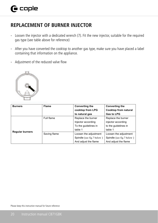### **REPLACEMENT OF BURNER INJECTOR**

- Loosen the injector with a dedicated wrench (7). Fit the new injector, suitable for the required gas type (see table above for reference)
- After you have converted the cooktop to another gas type, make sure you have placed a label containing that information on the appliance.
- Adjustment of the reduced valve flow



| <b>Burners</b>         | <b>Flame</b> | <b>Converting the</b>     | <b>Converting the</b>     |
|------------------------|--------------|---------------------------|---------------------------|
|                        |              | cooktop from LPG          | Cooktop from natural      |
|                        |              | to natural gas            | Gas to LPG                |
|                        | Full flame   | Replace the burner        | Replace the burner        |
|                        |              | Injector according        | injector according        |
|                        |              | To the quidelines in      | to the quidelines in      |
|                        |              | table 1                   | table 1                   |
| <b>Regular burners</b> | Saving flame | Loosen the adjustment     | Loosen the adjustment     |
|                        |              | Spindle (see fig.7 below) | Spindle (see fig.7 below) |
|                        |              | And adjust the flame      | And adjust the flame      |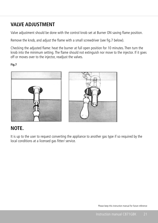### **VALVE ADJUSTMENT**

Valve adjustment should be done with the control knob set at Burner ON saving flame position.

Remove the knob, and adjust the flame with a small screwdriver (see fig.7 below).

Checking the adjusted flame: heat the burner at full open position for 10 minutes. Then turn the knob into the minimum setting. The flame should not extinguish nor move to the injector. If it goes off or moves over to the injector, readjust the valves.

**Fig.7**



#### **NOTE.**

It is up to the user to request converting the appliance to another gas type if so required by the local conditions at a licensed gas fitter/ service.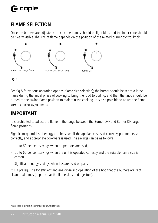## **FLAME SELECTION**

Once the burners are adjusted correctly, the flames should be light blue, and the inner cone should be clearly visible. The size of flame depends on the position of the related burner control knob.





See fig.8 for various operating options (flame size selection); the burner should be set at a large flame during the initial phase of cooking to bring the food to boiling, and then the knob should be turned to the saving flame position to maintain the cooking. It is also possible to adjust the flame size in smaller adjustments.

### · **IMPORTANT**

It is prohibited to adjust the flame in the range between the Burner OFF and Burner ON large flame positions.

Significant quantities of energy can be saved if the appliance is used correctly, parameters set correctly, and appropriate cookware is used. The savings can be as follows

- Up to 60 per cent savings when proper pots are used,
- Up to 60 per cent savings when the unit is operated correctly and the suitable flame size is chosen.
- Significant energy savings when lids are used on pans

It is a prerequisite for efficient and energy-saving operation of the hob that the burners are kept clean at all times (in particular the flame slots and injectors).